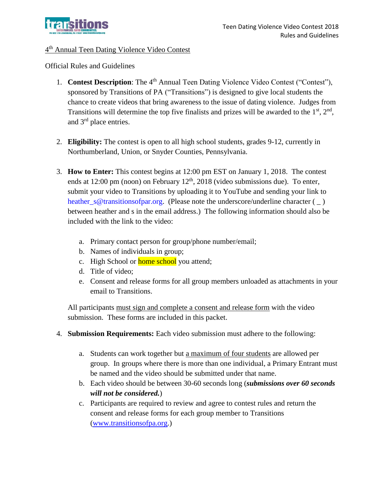

## 4<sup>th</sup> Annual Teen Dating Violence Video Contest

Official Rules and Guidelines

- 1. **Contest Description**: The 4<sup>th</sup> Annual Teen Dating Violence Video Contest ("Contest"), sponsored by Transitions of PA ("Transitions") is designed to give local students the chance to create videos that bring awareness to the issue of dating violence. Judges from Transitions will determine the top five finalists and prizes will be awarded to the  $1<sup>st</sup>$ ,  $2<sup>nd</sup>$ , and 3rd place entries.
- 2. **Eligibility:** The contest is open to all high school students, grades 9-12, currently in Northumberland, Union, or Snyder Counties, Pennsylvania.
- 3. **How to Enter:** This contest begins at 12:00 pm EST on January 1, 2018. The contest ends at 12:00 pm (noon) on February  $12<sup>th</sup>$ , 2018 (video submissions due). To enter, submit your video to Transitions by uploading it to YouTube and sending your link to [heather\\_s@transitionsofpar.org.](mailto:heather_s@transitionsofpar.org) (Please note the underscore/underline character (  $\angle$  ) between heather and s in the email address.) The following information should also be included with the link to the video:
	- a. Primary contact person for group/phone number/email;
	- b. Names of individuals in group;
	- c. High School or **home school** you attend;
	- d. Title of video;
	- e. Consent and release forms for all group members unloaded as attachments in your email to Transitions.

All participants must sign and complete a consent and release form with the video submission. These forms are included in this packet.

- 4. **Submission Requirements:** Each video submission must adhere to the following:
	- a. Students can work together but a maximum of four students are allowed per group. In groups where there is more than one individual, a Primary Entrant must be named and the video should be submitted under that name.
	- b. Each video should be between 30-60 seconds long (*submissions over 60 seconds will not be considered.*)
	- c. Participants are required to review and agree to contest rules and return the consent and release forms for each group member to Transitions [\(www.transitionsofpa.org.](http://www.transitionsofpa.org/))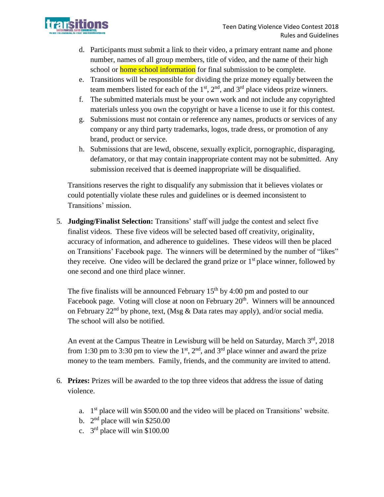

- d. Participants must submit a link to their video, a primary entrant name and phone number, names of all group members, title of video, and the name of their high school or **home school information** for final submission to be complete.
- e. Transitions will be responsible for dividing the prize money equally between the team members listed for each of the  $1<sup>st</sup>$ ,  $2<sup>nd</sup>$ , and  $3<sup>rd</sup>$  place videos prize winners.
- f. The submitted materials must be your own work and not include any copyrighted materials unless you own the copyright or have a license to use it for this contest.
- g. Submissions must not contain or reference any names, products or services of any company or any third party trademarks, logos, trade dress, or promotion of any brand, product or service.
- h. Submissions that are lewd, obscene, sexually explicit, pornographic, disparaging, defamatory, or that may contain inappropriate content may not be submitted. Any submission received that is deemed inappropriate will be disqualified.

Transitions reserves the right to disqualify any submission that it believes violates or could potentially violate these rules and guidelines or is deemed inconsistent to Transitions' mission.

5. **Judging/Finalist Selection:** Transitions' staff will judge the contest and select five finalist videos. These five videos will be selected based off creativity, originality, accuracy of information, and adherence to guidelines. These videos will then be placed on Transitions' Facebook page. The winners will be determined by the number of "likes" they receive. One video will be declared the grand prize or  $1<sup>st</sup>$  place winner, followed by one second and one third place winner.

The five finalists will be announced February  $15<sup>th</sup>$  by 4:00 pm and posted to our Facebook page. Voting will close at noon on February 20<sup>th</sup>. Winners will be announced on February  $22<sup>nd</sup>$  by phone, text, (Msg & Data rates may apply), and/or social media. The school will also be notified.

An event at the Campus Theatre in Lewisburg will be held on Saturday, March 3rd, 2018 from 1:30 pm to 3:30 pm to view the  $1<sup>st</sup>$ ,  $2<sup>nd</sup>$ , and  $3<sup>rd</sup>$  place winner and award the prize money to the team members. Family, friends, and the community are invited to attend.

- 6. **Prizes:** Prizes will be awarded to the top three videos that address the issue of dating violence.
	- a.  $1<sup>st</sup>$  place will win \$500.00 and the video will be placed on Transitions' website.
	- b.  $2<sup>nd</sup>$  place will win \$250.00
	- c.  $3<sup>rd</sup>$  place will win \$100.00